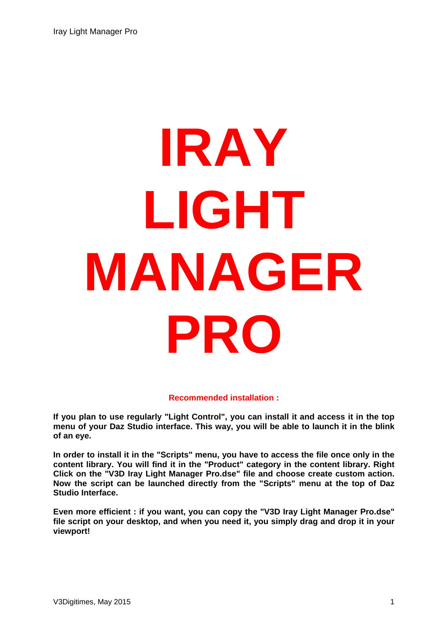# **IRAY LIGHT MANAGER PRO**

#### **Recommended installation :**

**If you plan to use regularly "Light Control", you can install it and access it in the top menu of your Daz Studio interface. This way, you will be able to launch it in the blink of an eye.** 

**In order to install it in the "Scripts" menu, you have to access the file once only in the content library. You will find it in the "Product" category in the content library. Right Click on the "V3D Iray Light Manager Pro.dse" file and choose create custom action. Now the script can be launched directly from the "Scripts" menu at the top of Daz Studio Interface.** 

**Even more efficient : if you want, you can copy the "V3D Iray Light Manager Pro.dse" file script on your desktop, and when you need it, you simply drag and drop it in your viewport!**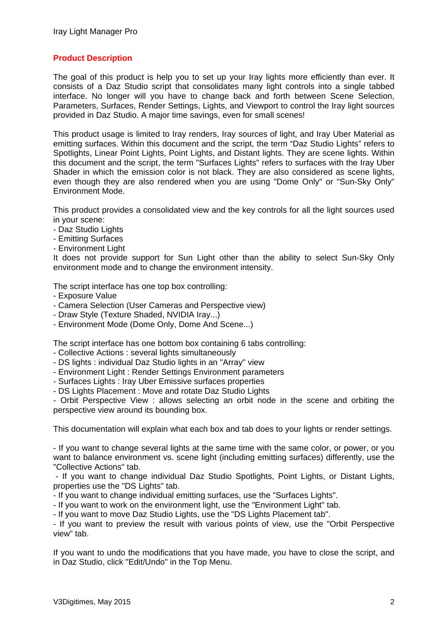# **Product Description**

The goal of this product is help you to set up your Iray lights more efficiently than ever. It consists of a Daz Studio script that consolidates many light controls into a single tabbed interface. No longer will you have to change back and forth between Scene Selection, Parameters, Surfaces, Render Settings, Lights, and Viewport to control the Iray light sources provided in Daz Studio. A major time savings, even for small scenes!

This product usage is limited to Iray renders, Iray sources of light, and Iray Uber Material as emitting surfaces. Within this document and the script, the term "Daz Studio Lights" refers to Spotlights, Linear Point Lights, Point Lights, and Distant lights. They are scene lights. Within this document and the script, the term "Surfaces Lights" refers to surfaces with the Iray Uber Shader in which the emission color is not black. They are also considered as scene lights, even though they are also rendered when you are using "Dome Only" or "Sun-Sky Only" Environment Mode.

This product provides a consolidated view and the key controls for all the light sources used in your scene:

- Daz Studio Lights
- Emitting Surfaces
- Environment Light

It does not provide support for Sun Light other than the ability to select Sun-Sky Only environment mode and to change the environment intensity.

The script interface has one top box controlling:

- Exposure Value
- Camera Selection (User Cameras and Perspective view)
- Draw Style (Texture Shaded, NVIDIA Iray...)
- Environment Mode (Dome Only, Dome And Scene...)

The script interface has one bottom box containing 6 tabs controlling:

- Collective Actions : several lights simultaneously
- DS lights : individual Daz Studio lights in an "Array" view
- Environment Light : Render Settings Environment parameters
- Surfaces Lights : Iray Uber Emissive surfaces properties

- DS Lights Placement : Move and rotate Daz Studio Lights

- Orbit Perspective View : allows selecting an orbit node in the scene and orbiting the perspective view around its bounding box.

This documentation will explain what each box and tab does to your lights or render settings.

- If you want to change several lights at the same time with the same color, or power, or you want to balance environment vs. scene light (including emitting surfaces) differently, use the "Collective Actions" tab.

 - If you want to change individual Daz Studio Spotlights, Point Lights, or Distant Lights, properties use the "DS Lights" tab.

- If you want to change individual emitting surfaces, use the "Surfaces Lights".

- If you want to work on the environment light, use the "Environment Light" tab.

- If you want to move Daz Studio Lights, use the "DS Lights Placement tab".

- If you want to preview the result with various points of view, use the "Orbit Perspective view" tab.

If you want to undo the modifications that you have made, you have to close the script, and in Daz Studio, click "Edit/Undo" in the Top Menu.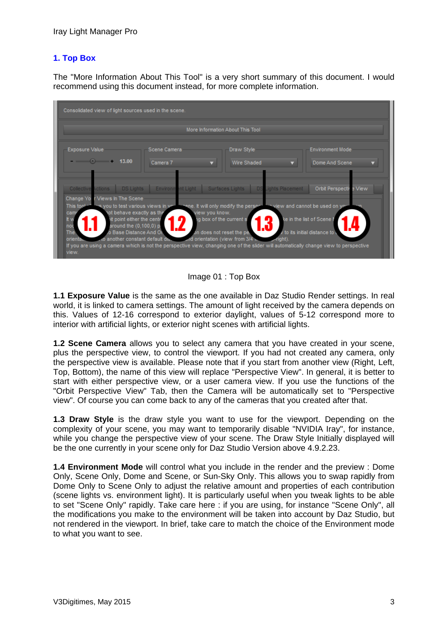# **1. Top Box**

The "More Information About This Tool" is a very short summary of this document. I would recommend using this document instead, for more complete information.



Image 01 : Top Box

**1.1 Exposure Value** is the same as the one available in Daz Studio Render settings. In real world, it is linked to camera settings. The amount of light received by the camera depends on this. Values of 12-16 correspond to exterior daylight, values of 5-12 correspond more to interior with artificial lights, or exterior night scenes with artificial lights.

**1.2 Scene Camera** allows you to select any camera that you have created in your scene, plus the perspective view, to control the viewport. If you had not created any camera, only the perspective view is available. Please note that if you start from another view (Right, Left, Top, Bottom), the name of this view will replace "Perspective View". In general, it is better to start with either perspective view, or a user camera view. If you use the functions of the "Orbit Perspective View" Tab, then the Camera will be automatically set to "Perspective view". Of course you can come back to any of the cameras that you created after that.

**1.3 Draw Style** is the draw style you want to use for the viewport. Depending on the complexity of your scene, you may want to temporarily disable "NVIDIA Iray", for instance, while you change the perspective view of your scene. The Draw Style Initially displayed will be the one currently in your scene only for Daz Studio Version above 4.9.2.23.

**1.4 Environment Mode** will control what you include in the render and the preview : Dome Only, Scene Only, Dome and Scene, or Sun-Sky Only. This allows you to swap rapidly from Dome Only to Scene Only to adjust the relative amount and properties of each contribution (scene lights vs. environment light). It is particularly useful when you tweak lights to be able to set "Scene Only" rapidly. Take care here : if you are using, for instance "Scene Only", all the modifications you make to the environment will be taken into account by Daz Studio, but not rendered in the viewport. In brief, take care to match the choice of the Environment mode to what you want to see.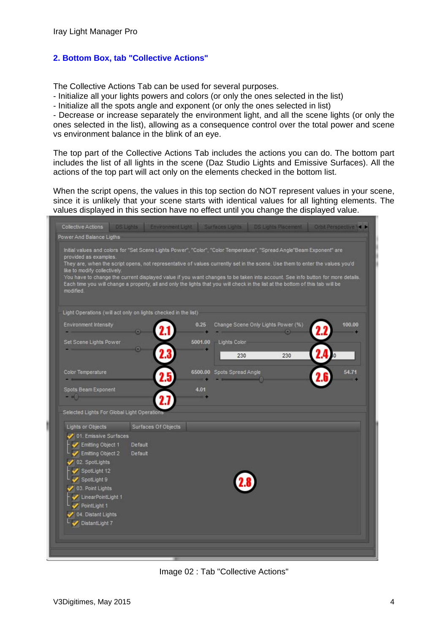# **2. Bottom Box, tab "Collective Actions"**

The Collective Actions Tab can be used for several purposes.

- Initialize all your lights powers and colors (or only the ones selected in the list)

- Initialize all the spots angle and exponent (or only the ones selected in list)

- Decrease or increase separately the environment light, and all the scene lights (or only the ones selected in the list), allowing as a consequence control over the total power and scene vs environment balance in the blink of an eye.

The top part of the Collective Actions Tab includes the actions you can do. The bottom part includes the list of all lights in the scene (Daz Studio Lights and Emissive Surfaces). All the actions of the top part will act only on the elements checked in the bottom list.

When the script opens, the values in this top section do NOT represent values in your scene, since it is unlikely that your scene starts with identical values for all lighting elements. The values displayed in this section have no effect until you change the displayed value.

| Collective Actions                                                                                                                                                                                                                                                                                                                                                                                                                                                                                                                                                                                |         | DS Lights Environment Light. Surfaces Lights DS Lights Placement Orbit Perspective \< |         |                                    |     |        |
|---------------------------------------------------------------------------------------------------------------------------------------------------------------------------------------------------------------------------------------------------------------------------------------------------------------------------------------------------------------------------------------------------------------------------------------------------------------------------------------------------------------------------------------------------------------------------------------------------|---------|---------------------------------------------------------------------------------------|---------|------------------------------------|-----|--------|
| Power And Balance Ligths                                                                                                                                                                                                                                                                                                                                                                                                                                                                                                                                                                          |         |                                                                                       |         |                                    |     |        |
| Initial values and colors for "Set Scene Lights Power", "Color", "Color Temperature", "Spread Angle"Beam Exponent" are<br>provided as examples.<br>They are, when the script opens, not representative of values currently set in the scene. Use them to enter the values you'd<br>like to modify collectively.<br>You have to change the current displayed value if you want changes to be taken into account. See info button for more details.<br>Each time you will change a property, all and only the lights that you will check in the list at the bottom of this tab will be<br>modified. |         |                                                                                       |         |                                    |     |        |
| Light Operations (will act only on lights checked in the list)                                                                                                                                                                                                                                                                                                                                                                                                                                                                                                                                    |         |                                                                                       |         |                                    |     |        |
| <b>Environment Intensity</b>                                                                                                                                                                                                                                                                                                                                                                                                                                                                                                                                                                      |         |                                                                                       | 0.25    | Change Scene Only Lights Power (%) |     | 100.00 |
| Set Scene Lights Power                                                                                                                                                                                                                                                                                                                                                                                                                                                                                                                                                                            | Θ       |                                                                                       | 5001.00 | <b>Lights Color</b><br>230         | 230 |        |
| Color Temperature                                                                                                                                                                                                                                                                                                                                                                                                                                                                                                                                                                                 |         |                                                                                       |         | 6500.00 Spots Spread Angle         |     | 54.71  |
| Spots Beam Exponent<br>$- 141$<br>Selected Lights For Global Light Operations                                                                                                                                                                                                                                                                                                                                                                                                                                                                                                                     |         |                                                                                       | 4.01    |                                    |     |        |
| Lights or Objects                                                                                                                                                                                                                                                                                                                                                                                                                                                                                                                                                                                 |         | Surfaces Of Objects                                                                   |         |                                    |     |        |
| 01. Emissive Surfaces                                                                                                                                                                                                                                                                                                                                                                                                                                                                                                                                                                             |         |                                                                                       |         |                                    |     |        |
| Emitting Object 1                                                                                                                                                                                                                                                                                                                                                                                                                                                                                                                                                                                 | Default |                                                                                       |         |                                    |     |        |
| Emitting Object 2                                                                                                                                                                                                                                                                                                                                                                                                                                                                                                                                                                                 | Default |                                                                                       |         |                                    |     |        |
| 02. SpotLights                                                                                                                                                                                                                                                                                                                                                                                                                                                                                                                                                                                    |         |                                                                                       |         |                                    |     |        |
| SpotLight 12                                                                                                                                                                                                                                                                                                                                                                                                                                                                                                                                                                                      |         |                                                                                       |         |                                    |     |        |
| SpotLight 9                                                                                                                                                                                                                                                                                                                                                                                                                                                                                                                                                                                       |         |                                                                                       |         |                                    |     |        |
| 03. Point Lights                                                                                                                                                                                                                                                                                                                                                                                                                                                                                                                                                                                  |         |                                                                                       |         |                                    |     |        |
| LinearPointLight 1                                                                                                                                                                                                                                                                                                                                                                                                                                                                                                                                                                                |         |                                                                                       |         |                                    |     |        |
| PointLight 1                                                                                                                                                                                                                                                                                                                                                                                                                                                                                                                                                                                      |         |                                                                                       |         |                                    |     |        |
| 04. Distant Lights<br>DistantLight 7                                                                                                                                                                                                                                                                                                                                                                                                                                                                                                                                                              |         |                                                                                       |         |                                    |     |        |
|                                                                                                                                                                                                                                                                                                                                                                                                                                                                                                                                                                                                   |         |                                                                                       |         |                                    |     |        |
|                                                                                                                                                                                                                                                                                                                                                                                                                                                                                                                                                                                                   |         |                                                                                       |         |                                    |     |        |
|                                                                                                                                                                                                                                                                                                                                                                                                                                                                                                                                                                                                   |         |                                                                                       |         |                                    |     |        |

Image 02 : Tab "Collective Actions"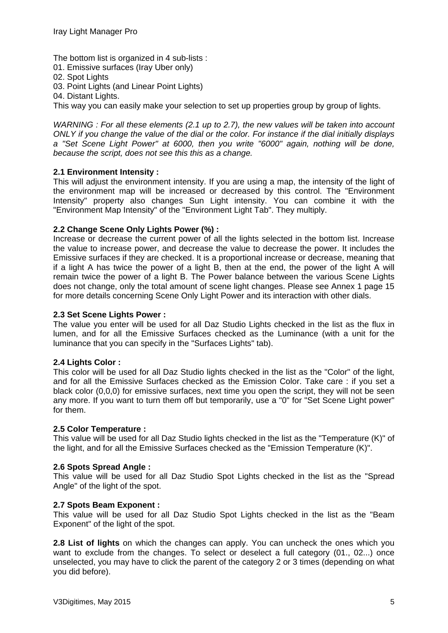The bottom list is organized in 4 sub-lists :

- 01. Emissive surfaces (Iray Uber only)
- 02. Spot Lights
- 03. Point Lights (and Linear Point Lights)
- 04. Distant Lights.

This way you can easily make your selection to set up properties group by group of lights.

*WARNING : For all these elements (2.1 up to 2.7), the new values will be taken into account ONLY if you change the value of the dial or the color. For instance if the dial initially displays a "Set Scene Light Power" at 6000, then you write "6000" again, nothing will be done, because the script, does not see this this as a change.* 

#### **2.1 Environment Intensity :**

This will adjust the environment intensity. If you are using a map, the intensity of the light of the environment map will be increased or decreased by this control. The "Environment Intensity" property also changes Sun Light intensity. You can combine it with the "Environment Map Intensity" of the "Environment Light Tab". They multiply.

#### **2.2 Change Scene Only Lights Power (%) :**

Increase or decrease the current power of all the lights selected in the bottom list. Increase the value to increase power, and decrease the value to decrease the power. It includes the Emissive surfaces if they are checked. It is a proportional increase or decrease, meaning that if a light A has twice the power of a light B, then at the end, the power of the light A will remain twice the power of a light B. The Power balance between the various Scene Lights does not change, only the total amount of scene light changes. Please see Annex 1 page 15 for more details concerning Scene Only Light Power and its interaction with other dials.

#### **2.3 Set Scene Lights Power :**

The value you enter will be used for all Daz Studio Lights checked in the list as the flux in lumen, and for all the Emissive Surfaces checked as the Luminance (with a unit for the luminance that you can specify in the "Surfaces Lights" tab).

#### **2.4 Lights Color :**

This color will be used for all Daz Studio lights checked in the list as the "Color" of the light, and for all the Emissive Surfaces checked as the Emission Color. Take care : if you set a black color (0,0,0) for emissive surfaces, next time you open the script, they will not be seen any more. If you want to turn them off but temporarily, use a "0" for "Set Scene Light power" for them.

#### **2.5 Color Temperature :**

This value will be used for all Daz Studio lights checked in the list as the "Temperature (K)" of the light, and for all the Emissive Surfaces checked as the "Emission Temperature (K)".

#### **2.6 Spots Spread Angle :**

This value will be used for all Daz Studio Spot Lights checked in the list as the "Spread Angle" of the light of the spot.

#### **2.7 Spots Beam Exponent :**

This value will be used for all Daz Studio Spot Lights checked in the list as the "Beam Exponent" of the light of the spot.

**2.8 List of lights** on which the changes can apply. You can uncheck the ones which you want to exclude from the changes. To select or deselect a full category (01., 02...) once unselected, you may have to click the parent of the category 2 or 3 times (depending on what you did before).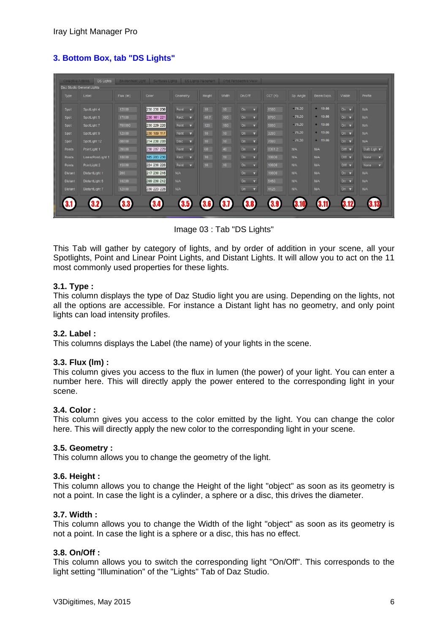# **3. Bottom Box, tab "DS Lights"**

|                | Daz Studio General Lights |           |             |                                   |                  |                  |                                      |         |            |            |                         |                              |
|----------------|---------------------------|-----------|-------------|-----------------------------------|------------------|------------------|--------------------------------------|---------|------------|------------|-------------------------|------------------------------|
| Type           | Label                     | Flux (lm) | Color       | Geometry                          | Height           | Width            | On/Off                               | CCT (K) | Sp. Angle  | Beam Expo. | Visible                 | <b>Profile</b>               |
| Spot           | SpotLight 4               | 12000     | 230 230 230 | Point<br>$\blacktriangledown$     | 10               | 10 <sup>°</sup>  | <b>On</b><br>$\overline{\mathbf{v}}$ | 6500    | $-76.30$   | $-19.66$   | On $\mathbf v$          | N/A                          |
| Spot           | SpotLight 5               | 17000     | 230 161 221 | Rect.<br>$\overline{\mathbf{v}}$  | 40.7             | 100              | On $\mathbf v$                       | 6700    | $-76.30$   | 19.66      | On $\blacktriangledown$ | N/A                          |
| Spot           | SpotLight 7               | 700000    | 230 229 220 | Point<br>$\overline{\phantom{a}}$ | 120              | 180              | On<br>$\overline{\mathbf{v}}$        | 5800    | $-76.30$   | $- 19.66$  | On v                    | <b>N/A</b>                   |
| Spot           | SpotLight 9               | 12000     | 230 189 117 | Point<br>$\overline{\phantom{a}}$ | 10               | 10               | On<br>$\overline{\mathbf{v}}$        | 3200    | $-76.30$   | $+ 19.66$  | On $\bullet$            | <b>N/A</b>                   |
| Spot           | SpotLight 12              | 80000     | 214 230 209 | Disc v                            | 10               | 10 <sub>10</sub> | <b>On</b><br>$\overline{\mathbf{v}}$ | 7800    | $-76.30$   | $+ 19.66$  | On $\mathbf v$          | <b>N/A</b>                   |
| Points         | PointLight 1              | 20000     | 230 207 229 | Point $\blacktriangledown$        | 60               | 40 <sub>1</sub>  | On $\mathbf v$                       | 8361.2  | N/A        | N/A        | Off v                   | Bulb Ligh v                  |
| Points         | LinearPointLight 1        | 18000     | 105 203 230 | Rect. <b>v</b>                    | 10               | 10               | On<br>$\overline{\mathbf{v}}$        | 10000   | <b>N/A</b> | N/A        | Off v                   | None<br>$\blacktriangledown$ |
| Points         | PointLight 2              | 15000     | 224 230 228 | Point<br>$\overline{\mathbf{v}}$  | 10               | 10               | On<br>$\overline{\mathbf{v}}$        | 10000   | <b>N/A</b> | <b>N/A</b> | Off v                   | None<br>$\mathbf{v}$         |
| <b>Distant</b> | DistantLight 1            | 200       | 217 230 216 | <b>N/A</b>                        |                  |                  | On<br>$\overline{\mathbf{v}}$        | 10000   | N/A        | <b>N/A</b> | On v                    | <b>N/A</b>                   |
| <b>Distant</b> | DistantLight 5            | 10200     | 209 230 212 | <b>N/A</b>                        |                  |                  | On<br>$\overline{\mathbf{v}}$        | 5450    | N/A        | <b>N/A</b> | On $\mathbf v$          | N/A                          |
| <b>Distant</b> | DistantLight 7            | 12000     | 230 223 228 | <b>N/A</b>                        |                  |                  | On<br>$\mathbf{v}$                   | 4125    | N/A        | N/A        | On $\mathbf v$          | N/A                          |
|                | 3.2                       | 3.3       | 3.4         | 35                                | 3.6 <sup>°</sup> | 3.7              | 3.8                                  | 3.9     | 3.10       | 3.11       | 3.12                    |                              |

Image 03 : Tab "DS Lights"

This Tab will gather by category of lights, and by order of addition in your scene, all your Spotlights, Point and Linear Point Lights, and Distant Lights. It will allow you to act on the 11 most commonly used properties for these lights.

# **3.1. Type :**

This column displays the type of Daz Studio light you are using. Depending on the lights, not all the options are accessible. For instance a Distant light has no geometry, and only point lights can load intensity profiles.

# **3.2. Label :**

This columns displays the Label (the name) of your lights in the scene.

# **3.3. Flux (lm) :**

This column gives you access to the flux in lumen (the power) of your light. You can enter a number here. This will directly apply the power entered to the corresponding light in your scene.

#### **3.4. Color :**

This column gives you access to the color emitted by the light. You can change the color here. This will directly apply the new color to the corresponding light in your scene.

#### **3.5. Geometry :**

This column allows you to change the geometry of the light.

## **3.6. Height :**

This column allows you to change the Height of the light "object" as soon as its geometry is not a point. In case the light is a cylinder, a sphere or a disc, this drives the diameter.

#### **3.7. Width :**

This column allows you to change the Width of the light "object" as soon as its geometry is not a point. In case the light is a sphere or a disc, this has no effect.

# **3.8. On/Off :**

This column allows you to switch the corresponding light "On/Off". This corresponds to the light setting "Illumination" of the "Lights" Tab of Daz Studio.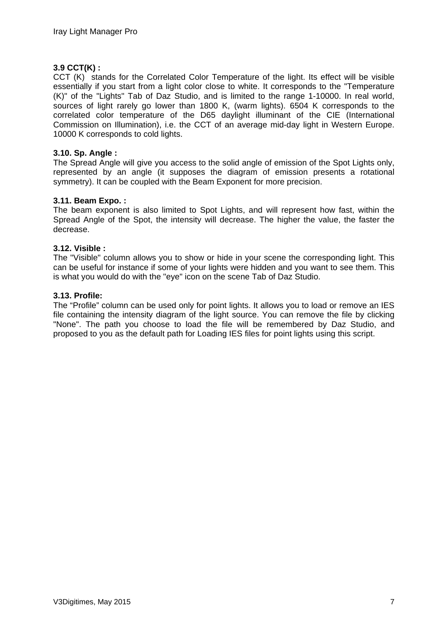# **3.9 CCT(K) :**

CCT (K) stands for the Correlated Color Temperature of the light. Its effect will be visible essentially if you start from a light color close to white. It corresponds to the "Temperature (K)" of the "Lights" Tab of Daz Studio, and is limited to the range 1-10000. In real world, sources of light rarely go lower than 1800 K, (warm lights). 6504 K corresponds to the correlated color temperature of the D65 daylight illuminant of the CIE (International Commission on Illumination), i.e. the CCT of an average mid-day light in Western Europe. 10000 K corresponds to cold lights.

## **3.10. Sp. Angle :**

The Spread Angle will give you access to the solid angle of emission of the Spot Lights only, represented by an angle (it supposes the diagram of emission presents a rotational symmetry). It can be coupled with the Beam Exponent for more precision.

#### **3.11. Beam Expo. :**

The beam exponent is also limited to Spot Lights, and will represent how fast, within the Spread Angle of the Spot, the intensity will decrease. The higher the value, the faster the decrease.

#### **3.12. Visible :**

The "Visible" column allows you to show or hide in your scene the corresponding light. This can be useful for instance if some of your lights were hidden and you want to see them. This is what you would do with the "eye" icon on the scene Tab of Daz Studio.

#### **3.13. Profile:**

The "Profile" column can be used only for point lights. It allows you to load or remove an IES file containing the intensity diagram of the light source. You can remove the file by clicking "None". The path you choose to load the file will be remembered by Daz Studio, and proposed to you as the default path for Loading IES files for point lights using this script.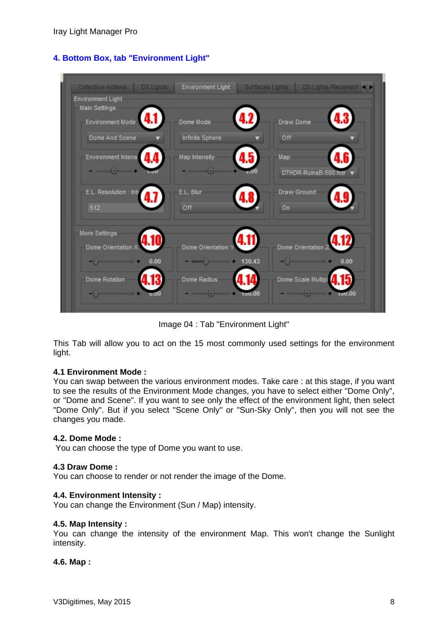| <b>Collective Actions</b>                        | <b>DS Lights</b> | Environment Light  | Surfaces Lights |                                                                                 | <b>DS Lights Placement 4 &gt;</b> |
|--------------------------------------------------|------------------|--------------------|-----------------|---------------------------------------------------------------------------------|-----------------------------------|
| <b>Environment Light</b><br><b>Main Settings</b> |                  |                    |                 |                                                                                 |                                   |
| Environment Mode                                 |                  | Dome Mode          |                 | <b>Draw Dome</b>                                                                |                                   |
| Dome And Scene                                   |                  | Infinite Sphere    |                 | Off                                                                             |                                   |
| Environment Intensi                              |                  | Map Intensity      |                 | Map                                                                             |                                   |
| $  -$                                            |                  | $-\circ$           |                 | DTHDR-RuinsB-500.hdr                                                            |                                   |
| E.L. Resolution : Inte                           | 4.1              | E.L. Blur          |                 | Draw Ground                                                                     |                                   |
| 512                                              |                  | Off                |                 | On                                                                              |                                   |
| More Settings                                    |                  |                    |                 |                                                                                 |                                   |
| Dome Orientation X                               |                  | Dome Orientation \ |                 | Dome Orientation 2                                                              |                                   |
| $-0$ $-$                                         | 0.00             | $\sim$ 130.43      |                 | $-0$ and $-1$                                                                   | 0.00                              |
| Dome Rotation                                    |                  | Dome Radius        |                 | Dome Scale Multipl                                                              |                                   |
| $-0$                                             |                  | $  -$              |                 | $\overline{\phantom{a}}\hspace{0.09cm}$ $\overline{\phantom{a}}\hspace{0.09cm}$ | าบป.00                            |

**4. Bottom Box, tab "Environment Light"** 

Image 04 : Tab "Environment Light"

This Tab will allow you to act on the 15 most commonly used settings for the environment light.

# **4.1 Environment Mode :**

You can swap between the various environment modes. Take care : at this stage, if you want to see the results of the Environment Mode changes, you have to select either "Dome Only", or "Dome and Scene". If you want to see only the effect of the environment light, then select "Dome Only". But if you select "Scene Only" or "Sun-Sky Only", then you will not see the changes you made.

# **4.2. Dome Mode :**

You can choose the type of Dome you want to use.

#### **4.3 Draw Dome :**

You can choose to render or not render the image of the Dome.

#### **4.4. Environment Intensity :**

You can change the Environment (Sun / Map) intensity.

#### **4.5. Map Intensity :**

You can change the intensity of the environment Map. This won't change the Sunlight intensity.

# **4.6. Map :**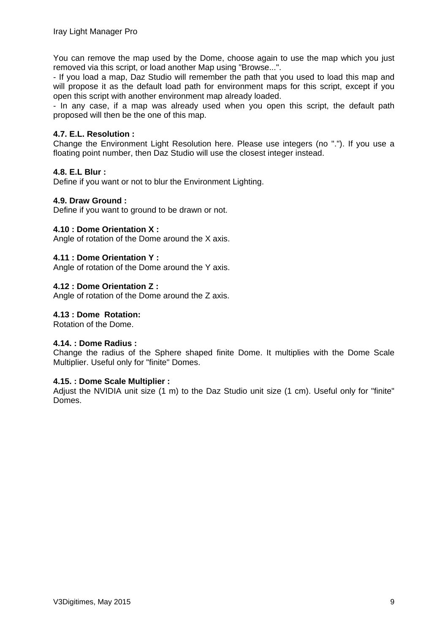You can remove the map used by the Dome, choose again to use the map which you just removed via this script, or load another Map using "Browse...".

- If you load a map, Daz Studio will remember the path that you used to load this map and will propose it as the default load path for environment maps for this script, except if you open this script with another environment map already loaded.

- In any case, if a map was already used when you open this script, the default path proposed will then be the one of this map.

#### **4.7. E.L. Resolution :**

Change the Environment Light Resolution here. Please use integers (no "."). If you use a floating point number, then Daz Studio will use the closest integer instead.

#### **4.8. E.L Blur :**

Define if you want or not to blur the Environment Lighting.

#### **4.9. Draw Ground :**

Define if you want to ground to be drawn or not.

#### **4.10 : Dome Orientation X :**

Angle of rotation of the Dome around the X axis.

#### **4.11 : Dome Orientation Y :**

Angle of rotation of the Dome around the Y axis.

#### **4.12 : Dome Orientation Z :**

Angle of rotation of the Dome around the Z axis.

#### **4.13 : Dome Rotation:**

Rotation of the Dome.

#### **4.14. : Dome Radius :**

Change the radius of the Sphere shaped finite Dome. It multiplies with the Dome Scale Multiplier. Useful only for "finite" Domes.

#### **4.15. : Dome Scale Multiplier :**

Adjust the NVIDIA unit size (1 m) to the Daz Studio unit size (1 cm). Useful only for "finite" Domes.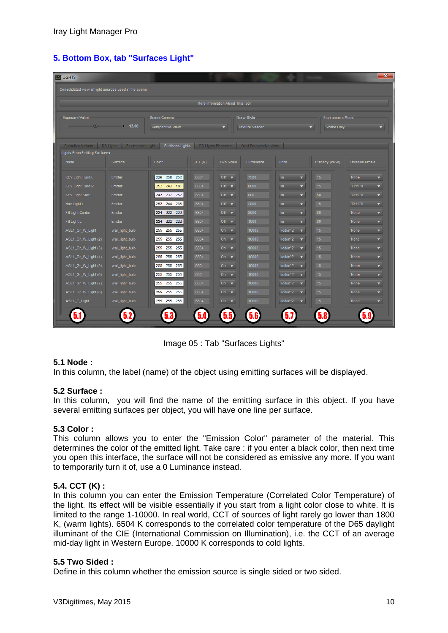|  |  | 5. Bottom Box, tab "Surfaces Light" |  |
|--|--|-------------------------------------|--|
|  |  |                                     |  |

| <b>DS LIGHTS</b>                                      |                 |                  |        |                                  |                                              |                                                |                         | $\mathbf{x}$                    |
|-------------------------------------------------------|-----------------|------------------|--------|----------------------------------|----------------------------------------------|------------------------------------------------|-------------------------|---------------------------------|
| Consolidated view of light sources used in the scene. |                 |                  |        |                                  |                                              |                                                |                         |                                 |
|                                                       |                 |                  |        |                                  |                                              |                                                |                         |                                 |
|                                                       |                 |                  |        | More Information About This Tool |                                              |                                                |                         |                                 |
| <b>Exposure Value</b>                                 |                 | Scene Camera     |        |                                  | Draw Style                                   |                                                | <b>Environment Mode</b> |                                 |
|                                                       | $\circ$ 13.00   | Perspective View |        | ▼                                | <b>Texture Shaded</b>                        |                                                | Scene Only<br>▼         |                                 |
|                                                       |                 |                  |        |                                  |                                              |                                                |                         |                                 |
| Collective Actions DS Lights Environment Light        |                 | Surfaces Lights  |        |                                  | DS Lights Placement   Orbit Perspective View |                                                |                         |                                 |
| <b>Lights From Emitting Surfaces</b>                  |                 |                  |        |                                  |                                              |                                                |                         |                                 |
| Node                                                  | Surface         | Color            | CCT(K) | <b>Two Sided</b>                 | Luminance                                    | <b>Units</b>                                   | Efficacy (Im/W)         | <b>Emission Profile</b>         |
| <b>KEY Light Hard L</b>                               | Emitter         | 226 250<br>252   | 6504   | Off $\mathbf{v}$                 | 7500                                         | Im-<br>$\blacktriangledown$                    | 15                      | None<br>$\blacktriangledown$    |
| <b>KEY Light Hard R</b>                               | Emitter         | 252 242<br>181   | 6504   | Off $\overline{\mathbf{v}}$      | 8000                                         | $\overline{\mathbf{v}}$<br>Im                  | 15                      | T31178<br>$\blacktriangledown$  |
| <b>KEY Light Soft L</b>                               | Emitter         | 242 237<br>252   | 6504   | Off $\overline{\mathbf{v}}$      | 800                                          | Im-<br>$\overline{\mathbf{v}}$                 | 50                      | T31178<br>▼                     |
| Hair Light L                                          | Emitter         | 252 244 238      | 6504   | Off $\mathbf{v}$                 | 2000                                         | Im<br>$\overline{\mathbf{v}}$                  | 15                      | T31178<br>$\blacktriangledown$  |
| <b>Fill Light Center</b>                              | Emitter         | 224 222<br>222   | 6504   | Off $\mathbf{v}$                 | 3000                                         | $\overline{\mathbf{v}}$<br>Im                  | 60                      | None<br>▼                       |
| Fill Light L                                          | Emitter         | 224 222 222      | 6504   | Off $\mathbf{v}$                 | 1000                                         | Im-<br>$\overline{\mathbf{v}}$                 | 80                      | None<br>▼.                      |
| ASL1_Gr_W_Light                                       | wall_light_bulb | 255 255<br>255   | 6504   | On<br>$\blacktriangledown$       | 10000                                        | kcd/m <sup>^2</sup><br>$\overline{\mathbf{v}}$ | 15                      | None<br>▼                       |
| ASL1_Gr_W_Light (2)                                   | wall_light_bulb | 255 255<br>255   | 6504   | On $\blacktriangledown$          | 10000                                        | kcd/m <sup>^2</sup><br>▼                       | 15                      | None<br>▼                       |
| ASL1_Gr_W_Light (3)                                   | wall_light_bulb | 255 255<br>255   | 6504   | On $\overline{\mathbf{v}}$       | 10000                                        | kcd/m <sup>^2</sup><br>▼                       | 15                      | None<br>▼                       |
| ASL1_Gr_W_Light (4)                                   | wall_light_bulb | 255 255<br>255   | 6504   | On $\overline{\mathbf{v}}$       | 10000                                        | kcd/m <sup>^2</sup><br>▼                       | 15                      | None<br>▼                       |
| ASL1 Gr W Light (5)                                   | wall light bulb | 255 255<br>255   | 6504   | On-<br>$\blacktriangledown$      | 10000                                        | kcd/m <sup>^2</sup><br>$\overline{\mathbf{v}}$ | 15                      | None<br>▼                       |
| ASL1_Gr_W_Light (6)                                   | wall_light_bulb | 255 255<br>255   | 6504   | On $\overline{\mathbf{v}}$       | 10000                                        | kcd/m <sup>^2</sup><br>▼                       | 15                      | None<br>▼                       |
| ASL1_Gr_W_Light (7)                                   | wall_light_bulb | 255 255<br>255   | 6504   | On -<br>$\overline{\phantom{a}}$ | 10000                                        | kcd/m <sup>2</sup><br>$\overline{\phantom{a}}$ | 15                      | None<br>▼                       |
| ASL1_Gr_W_Light (8)                                   | wall_light_bulb | 255 255<br>255   | 6504   | On $\overline{\mathbf{v}}$       | 10000                                        | kcd/m <sup>^2</sup><br>$\overline{\mathbf{v}}$ | 15                      | None<br>$\overline{\mathbf{v}}$ |
| ASL1_C_Light                                          | wall_light_bulb | 255 255 255      | 6504   | On $\bullet$                     | 10000                                        | kcd/m <sup>^2</sup><br>$\overline{\mathbf{v}}$ | 15 <sub>1</sub>         | None<br>$\overline{\mathbf{v}}$ |
|                                                       |                 |                  |        |                                  |                                              |                                                |                         |                                 |
|                                                       |                 |                  |        |                                  |                                              |                                                |                         |                                 |

Image 05 : Tab "Surfaces Lights"

# **5.1 Node :**

In this column, the label (name) of the object using emitting surfaces will be displayed.

# **5.2 Surface :**

In this column, you will find the name of the emitting surface in this object. If you have several emitting surfaces per object, you will have one line per surface.

# **5.3 Color :**

This column allows you to enter the "Emission Color" parameter of the material. This determines the color of the emitted light. Take care : if you enter a black color, then next time you open this interface, the surface will not be considered as emissive any more. If you want to temporarily turn it of, use a 0 Luminance instead.

# **5.4. CCT (K) :**

In this column you can enter the Emission Temperature (Correlated Color Temperature) of the light. Its effect will be visible essentially if you start from a light color close to white. It is limited to the range 1-10000. In real world, CCT of sources of light rarely go lower than 1800 K, (warm lights). 6504 K corresponds to the correlated color temperature of the D65 daylight illuminant of the CIE (International Commission on Illumination), i.e. the CCT of an average mid-day light in Western Europe. 10000 K corresponds to cold lights.

# **5.5 Two Sided :**

Define in this column whether the emission source is single sided or two sided.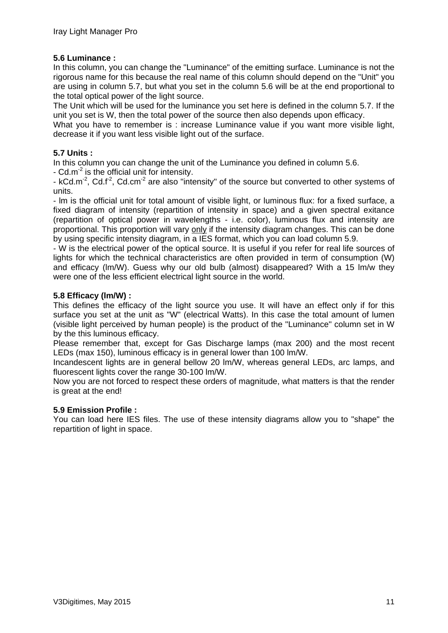# **5.6 Luminance :**

In this column, you can change the "Luminance" of the emitting surface. Luminance is not the rigorous name for this because the real name of this column should depend on the "Unit" you are using in column 5.7, but what you set in the column 5.6 will be at the end proportional to the total optical power of the light source.

The Unit which will be used for the luminance you set here is defined in the column 5.7. If the unit you set is W, then the total power of the source then also depends upon efficacy.

What you have to remember is : increase Luminance value if you want more visible light, decrease it if you want less visible light out of the surface.

# **5.7 Units :**

In this column you can change the unit of the Luminance you defined in column 5.6.

- Cd.m<sup>-2</sup> is the official unit for intensity.

- kCd.m<sup>-2</sup>, Cd.f<sup>-2</sup>, Cd.cm<sup>-2</sup> are also "intensity" of the source but converted to other systems of units.

- lm is the official unit for total amount of visible light, or luminous flux: for a fixed surface, a fixed diagram of intensity (repartition of intensity in space) and a given spectral exitance (repartition of optical power in wavelengths - i.e. color), luminous flux and intensity are proportional. This proportion will vary only if the intensity diagram changes. This can be done by using specific intensity diagram, in a IES format, which you can load column 5.9.

- W is the electrical power of the optical source. It is useful if you refer for real life sources of lights for which the technical characteristics are often provided in term of consumption (W) and efficacy (lm/W). Guess why our old bulb (almost) disappeared? With a 15 lm/w they were one of the less efficient electrical light source in the world.

# **5.8 Efficacy (lm/W) :**

This defines the efficacy of the light source you use. It will have an effect only if for this surface you set at the unit as "W" (electrical Watts). In this case the total amount of lumen (visible light perceived by human people) is the product of the "Luminance" column set in W by the this luminous efficacy.

Please remember that, except for Gas Discharge lamps (max 200) and the most recent LEDs (max 150), luminous efficacy is in general lower than 100 lm/W.

Incandescent lights are in general bellow 20 lm/W, whereas general LEDs, arc lamps, and fluorescent lights cover the range 30-100 lm/W.

Now you are not forced to respect these orders of magnitude, what matters is that the render is great at the end!

# **5.9 Emission Profile :**

You can load here IES files. The use of these intensity diagrams allow you to "shape" the repartition of light in space.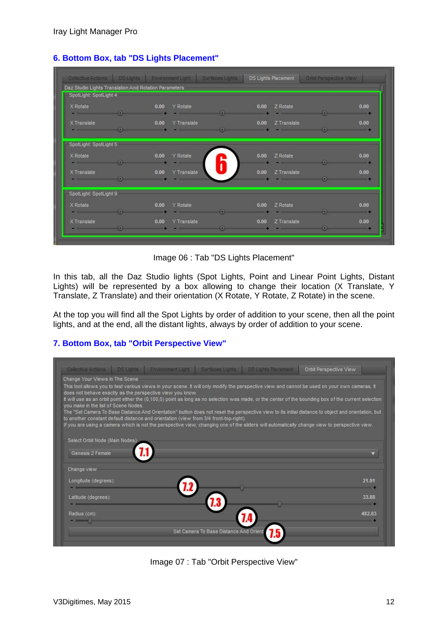| Daz Studio Lights Translation And Rotation Parameters              |                                                                                                                                                                                                                                                                     |                     |               |      |                  |                                                                                                                                                                                                                                                                                                                                                                                                                                                      |      |
|--------------------------------------------------------------------|---------------------------------------------------------------------------------------------------------------------------------------------------------------------------------------------------------------------------------------------------------------------|---------------------|---------------|------|------------------|------------------------------------------------------------------------------------------------------------------------------------------------------------------------------------------------------------------------------------------------------------------------------------------------------------------------------------------------------------------------------------------------------------------------------------------------------|------|
| SpotLight: SpotLight 4                                             |                                                                                                                                                                                                                                                                     |                     |               |      |                  |                                                                                                                                                                                                                                                                                                                                                                                                                                                      |      |
|                                                                    |                                                                                                                                                                                                                                                                     |                     |               |      |                  |                                                                                                                                                                                                                                                                                                                                                                                                                                                      |      |
| X Rotate                                                           |                                                                                                                                                                                                                                                                     | 0.00 Y Rotate       |               |      | 0.00 Z Rotate    |                                                                                                                                                                                                                                                                                                                                                                                                                                                      | 0.00 |
| $\bullet$ . The contract of $\bullet$ is the contract of $\bullet$ |                                                                                                                                                                                                                                                                     |                     |               |      |                  | $\sim$ $\sim$ $\sim$ $\sim$ $\sim$ $\sim$ $\sim$                                                                                                                                                                                                                                                                                                                                                                                                     |      |
| X Translate                                                        |                                                                                                                                                                                                                                                                     | 0.00 Y Translate    |               |      | 0.00 Z Translate |                                                                                                                                                                                                                                                                                                                                                                                                                                                      | 0.00 |
|                                                                    | $\sim$ 0.000 $\sim$ 1.000 $\sim$ 1.000 $\sim$ 1.000 $\sim$ 1.000 $\sim$ 1.000 $\sim$ 1.000 $\sim$ 1.000 $\sim$ 1.000 $\sim$ 1.000 $\sim$ 1.000 $\sim$ 1.000 $\sim$ 1.000 $\sim$ 1.000 $\sim$ 1.000 $\sim$ 1.000 $\sim$ 1.000 $\sim$ 1.000 $\sim$ 1.000 $\sim$ 1.000 |                     |               |      |                  | $\begin{array}{ccccccccccccccccc} \multicolumn{4}{c }{O} & \multicolumn{4}{c }{O} & \multicolumn{4}{c }{O} & \multicolumn{4}{c }{O} & \multicolumn{4}{c }{O} & \multicolumn{4}{c }{O} & \multicolumn{4}{c }{O} & \multicolumn{4}{c }{O} & \multicolumn{4}{c }{O} & \multicolumn{4}{c }{O} & \multicolumn{4}{c }{O} & \multicolumn{4}{c }{O} & \multicolumn{4}{c }{O} & \multicolumn{4}{c }{O} & \multicolumn{4}{c }{O} & \multicolumn{4}{c }{O} & \$ |      |
| SpotLight: SpotLight 5                                             |                                                                                                                                                                                                                                                                     |                     |               |      |                  |                                                                                                                                                                                                                                                                                                                                                                                                                                                      |      |
| X Rotate                                                           |                                                                                                                                                                                                                                                                     | 0.00 Y Rotate       |               |      | $0.00$ Z Rotate  |                                                                                                                                                                                                                                                                                                                                                                                                                                                      | 0.00 |
|                                                                    |                                                                                                                                                                                                                                                                     |                     |               |      |                  | $\sim$ $\sim$ $\sim$ $\sim$ $\sim$ $\sim$                                                                                                                                                                                                                                                                                                                                                                                                            |      |
| X Translate                                                        |                                                                                                                                                                                                                                                                     | 0.00 Y Translate    |               | 0.00 | Z Translate      |                                                                                                                                                                                                                                                                                                                                                                                                                                                      | 0.00 |
|                                                                    |                                                                                                                                                                                                                                                                     |                     |               |      |                  |                                                                                                                                                                                                                                                                                                                                                                                                                                                      |      |
|                                                                    |                                                                                                                                                                                                                                                                     |                     |               |      |                  |                                                                                                                                                                                                                                                                                                                                                                                                                                                      |      |
| SpotLight: SpotLight 9                                             |                                                                                                                                                                                                                                                                     |                     |               |      |                  |                                                                                                                                                                                                                                                                                                                                                                                                                                                      |      |
| X Rotate                                                           |                                                                                                                                                                                                                                                                     | 0.00<br>Y Rotate    |               | 0.00 | Z Rotate         |                                                                                                                                                                                                                                                                                                                                                                                                                                                      | 0.00 |
|                                                                    | $\sim$ $\sim$ $\sim$ $\sim$ $\sim$ $\sim$                                                                                                                                                                                                                           |                     | $\sim$ $\sim$ |      |                  | <u>in the second contract of the second contract of the second contract of the second contract of the second contract of the second contract of the second contract of the second contract of the second contract of the second </u>                                                                                                                                                                                                                 |      |
| X Translate                                                        |                                                                                                                                                                                                                                                                     | 0.00<br>Y Translate |               |      | 0.00 Z Translate |                                                                                                                                                                                                                                                                                                                                                                                                                                                      | 0.00 |
| $\sim$ 0.000 $\sim$ 0.000 $\sim$                                   |                                                                                                                                                                                                                                                                     |                     |               |      |                  |                                                                                                                                                                                                                                                                                                                                                                                                                                                      |      |

# **6. Bottom Box, tab "DS Lights Placement"**

Image 06 : Tab "DS Lights Placement"

In this tab, all the Daz Studio lights (Spot Lights, Point and Linear Point Lights, Distant Lights) will be represented by a box allowing to change their location (X Translate, Y Translate, Z Translate) and their orientation (X Rotate, Y Rotate, Z Rotate) in the scene.

At the top you will find all the Spot Lights by order of addition to your scene, then all the point lights, and at the end, all the distant lights, always by order of addition to your scene.

# **7. Bottom Box, tab "Orbit Perspective View"**

| Change Your Views In The Scene       |                                                           |                                                                                       |                                                                                                                                                       |
|--------------------------------------|-----------------------------------------------------------|---------------------------------------------------------------------------------------|-------------------------------------------------------------------------------------------------------------------------------------------------------|
|                                      | does not behave exactly as the perspective view you know. |                                                                                       | This tool allows you to test various views in your scene. It will only modify the perspective view and cannot be used on your own cameras. It         |
|                                      |                                                           |                                                                                       | It will use as an orbit point either the (0,100,0) point as long as no selection was made, or the center of the bounding box of the current selection |
| you make in the list of Scene Nodes. |                                                           |                                                                                       |                                                                                                                                                       |
|                                      |                                                           | to another constant default distance and orientation (view from 3/4 front-top-right). | The "Set Camera To Base Distance And Orientation" button does not reset the perspective view to its initial distance to object and orientation, but   |
|                                      |                                                           |                                                                                       | If you are using a camera which is not the perspective view, changing one of the sliders will automatically change view to perspective view.          |
|                                      |                                                           |                                                                                       |                                                                                                                                                       |
| Select Orbit Node (Main Nodes)       |                                                           |                                                                                       |                                                                                                                                                       |
| Genesis 2 Female                     |                                                           |                                                                                       |                                                                                                                                                       |
|                                      |                                                           |                                                                                       |                                                                                                                                                       |
|                                      |                                                           |                                                                                       |                                                                                                                                                       |
| Change view                          |                                                           |                                                                                       |                                                                                                                                                       |
| Longitude (degrees):                 |                                                           |                                                                                       | 21.91                                                                                                                                                 |
|                                      |                                                           |                                                                                       |                                                                                                                                                       |
| Latitude (degrees):                  |                                                           |                                                                                       | 33.88                                                                                                                                                 |
|                                      |                                                           |                                                                                       |                                                                                                                                                       |
| Radius (cm):                         |                                                           |                                                                                       | 482.83                                                                                                                                                |
|                                      |                                                           |                                                                                       |                                                                                                                                                       |

Image 07 : Tab "Orbit Perspective View"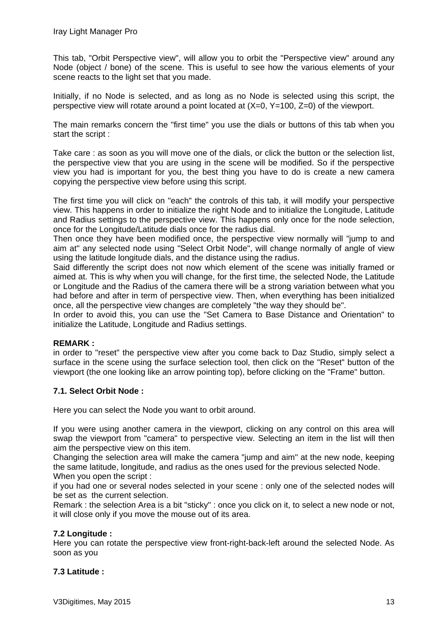This tab, "Orbit Perspective view", will allow you to orbit the "Perspective view" around any Node (object / bone) of the scene. This is useful to see how the various elements of your scene reacts to the light set that you made.

Initially, if no Node is selected, and as long as no Node is selected using this script, the perspective view will rotate around a point located at (X=0, Y=100, Z=0) of the viewport.

The main remarks concern the "first time" you use the dials or buttons of this tab when you start the script :

Take care : as soon as you will move one of the dials, or click the button or the selection list, the perspective view that you are using in the scene will be modified. So if the perspective view you had is important for you, the best thing you have to do is create a new camera copying the perspective view before using this script.

The first time you will click on "each" the controls of this tab, it will modify your perspective view. This happens in order to initialize the right Node and to initialize the Longitude, Latitude and Radius settings to the perspective view. This happens only once for the node selection, once for the Longitude/Latitude dials once for the radius dial.

Then once they have been modified once, the perspective view normally will "jump to and aim at" any selected node using "Select Orbit Node", will change normally of angle of view using the latitude longitude dials, and the distance using the radius.

Said differently the script does not now which element of the scene was initially framed or aimed at. This is why when you will change, for the first time, the selected Node, the Latitude or Longitude and the Radius of the camera there will be a strong variation between what you had before and after in term of perspective view. Then, when everything has been initialized once, all the perspective view changes are completely "the way they should be".

In order to avoid this, you can use the "Set Camera to Base Distance and Orientation" to initialize the Latitude, Longitude and Radius settings.

# **REMARK :**

in order to "reset" the perspective view after you come back to Daz Studio, simply select a surface in the scene using the surface selection tool, then click on the "Reset" button of the viewport (the one looking like an arrow pointing top), before clicking on the "Frame" button.

# **7.1. Select Orbit Node :**

Here you can select the Node you want to orbit around.

If you were using another camera in the viewport, clicking on any control on this area will swap the viewport from "camera" to perspective view. Selecting an item in the list will then aim the perspective view on this item.

Changing the selection area will make the camera "jump and aim" at the new node, keeping the same latitude, longitude, and radius as the ones used for the previous selected Node. When you open the script :

if you had one or several nodes selected in your scene : only one of the selected nodes will be set as the current selection.

Remark : the selection Area is a bit "sticky" : once you click on it, to select a new node or not, it will close only if you move the mouse out of its area.

# **7.2 Longitude :**

Here you can rotate the perspective view front-right-back-left around the selected Node. As soon as you

# **7.3 Latitude :**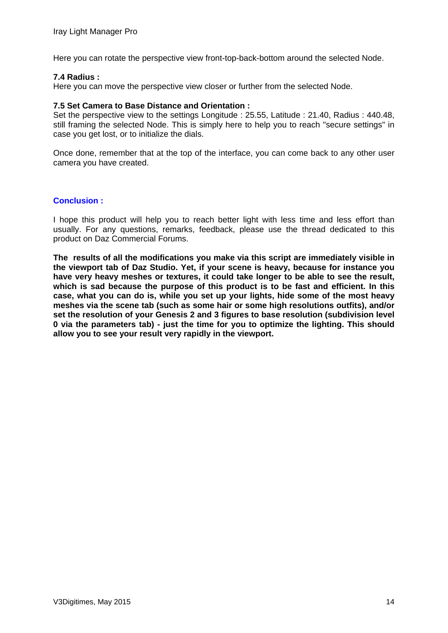Here you can rotate the perspective view front-top-back-bottom around the selected Node.

#### **7.4 Radius :**

Here you can move the perspective view closer or further from the selected Node.

#### **7.5 Set Camera to Base Distance and Orientation :**

Set the perspective view to the settings Longitude : 25.55, Latitude : 21.40, Radius : 440.48, still framing the selected Node. This is simply here to help you to reach "secure settings" in case you get lost, or to initialize the dials.

Once done, remember that at the top of the interface, you can come back to any other user camera you have created.

# **Conclusion :**

I hope this product will help you to reach better light with less time and less effort than usually. For any questions, remarks, feedback, please use the thread dedicated to this product on Daz Commercial Forums.

**The results of all the modifications you make via this script are immediately visible in the viewport tab of Daz Studio. Yet, if your scene is heavy, because for instance you have very heavy meshes or textures, it could take longer to be able to see the result, which is sad because the purpose of this product is to be fast and efficient. In this case, what you can do is, while you set up your lights, hide some of the most heavy meshes via the scene tab (such as some hair or some high resolutions outfits), and/or set the resolution of your Genesis 2 and 3 figures to base resolution (subdivision level 0 via the parameters tab) - just the time for you to optimize the lighting. This should allow you to see your result very rapidly in the viewport.**